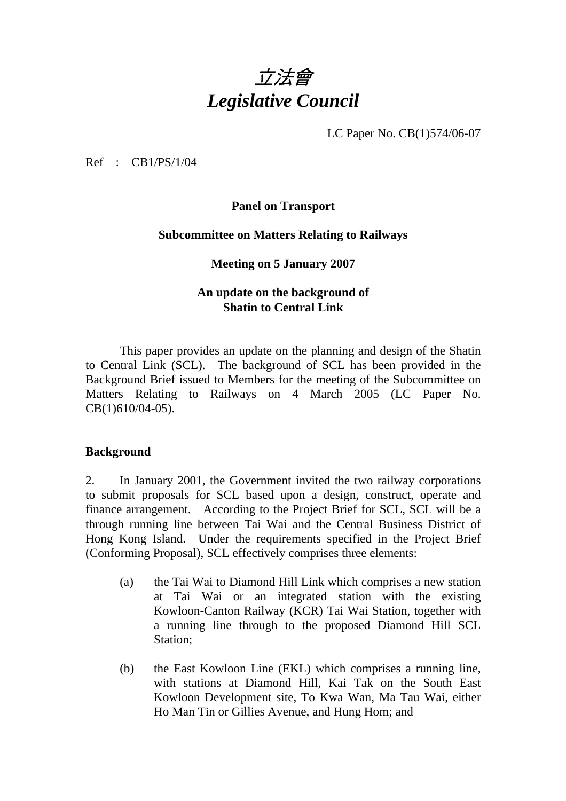

LC Paper No. CB(1)574/06-07

Ref : CB1/PS/1/04

**Panel on Transport** 

### **Subcommittee on Matters Relating to Railways**

### **Meeting on 5 January 2007**

# **An update on the background of Shatin to Central Link**

This paper provides an update on the planning and design of the Shatin to Central Link (SCL). The background of SCL has been provided in the Background Brief issued to Members for the meeting of the Subcommittee on Matters Relating to Railways on 4 March 2005 (LC Paper No. CB(1)610/04-05).

# **Background**

2. In January 2001, the Government invited the two railway corporations to submit proposals for SCL based upon a design, construct, operate and finance arrangement. According to the Project Brief for SCL, SCL will be a through running line between Tai Wai and the Central Business District of Hong Kong Island. Under the requirements specified in the Project Brief (Conforming Proposal), SCL effectively comprises three elements:

- (a) the Tai Wai to Diamond Hill Link which comprises a new station at Tai Wai or an integrated station with the existing Kowloon-Canton Railway (KCR) Tai Wai Station, together with a running line through to the proposed Diamond Hill SCL Station;
- (b) the East Kowloon Line (EKL) which comprises a running line, with stations at Diamond Hill, Kai Tak on the South East Kowloon Development site, To Kwa Wan, Ma Tau Wai, either Ho Man Tin or Gillies Avenue, and Hung Hom; and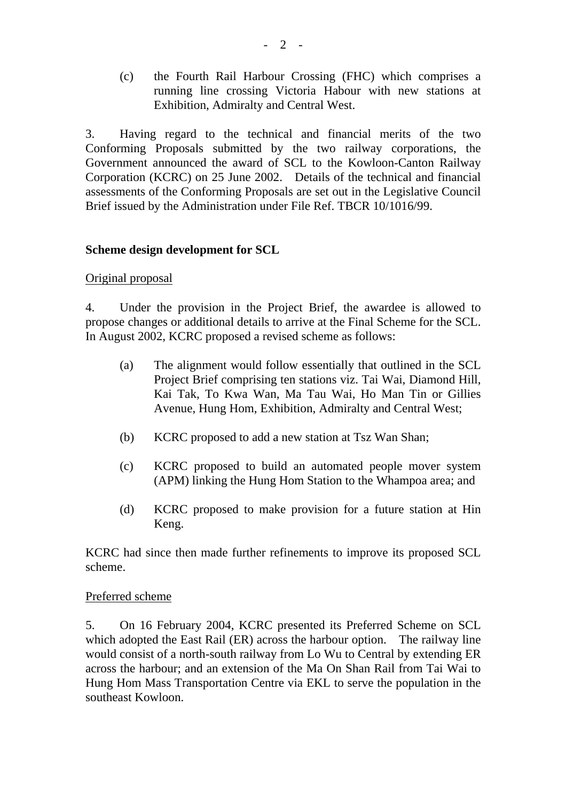(c) the Fourth Rail Harbour Crossing (FHC) which comprises a running line crossing Victoria Habour with new stations at Exhibition, Admiralty and Central West.

3. Having regard to the technical and financial merits of the two Conforming Proposals submitted by the two railway corporations, the Government announced the award of SCL to the Kowloon-Canton Railway Corporation (KCRC) on 25 June 2002. Details of the technical and financial assessments of the Conforming Proposals are set out in the Legislative Council Brief issued by the Administration under File Ref. TBCR 10/1016/99.

# **Scheme design development for SCL**

# Original proposal

4. Under the provision in the Project Brief, the awardee is allowed to propose changes or additional details to arrive at the Final Scheme for the SCL. In August 2002, KCRC proposed a revised scheme as follows:

- (a) The alignment would follow essentially that outlined in the SCL Project Brief comprising ten stations viz. Tai Wai, Diamond Hill, Kai Tak, To Kwa Wan, Ma Tau Wai, Ho Man Tin or Gillies Avenue, Hung Hom, Exhibition, Admiralty and Central West;
- (b) KCRC proposed to add a new station at Tsz Wan Shan;
- (c) KCRC proposed to build an automated people mover system (APM) linking the Hung Hom Station to the Whampoa area; and
- (d) KCRC proposed to make provision for a future station at Hin Keng.

KCRC had since then made further refinements to improve its proposed SCL scheme.

#### Preferred scheme

5. On 16 February 2004, KCRC presented its Preferred Scheme on SCL which adopted the East Rail (ER) across the harbour option. The railway line would consist of a north-south railway from Lo Wu to Central by extending ER across the harbour; and an extension of the Ma On Shan Rail from Tai Wai to Hung Hom Mass Transportation Centre via EKL to serve the population in the southeast Kowloon.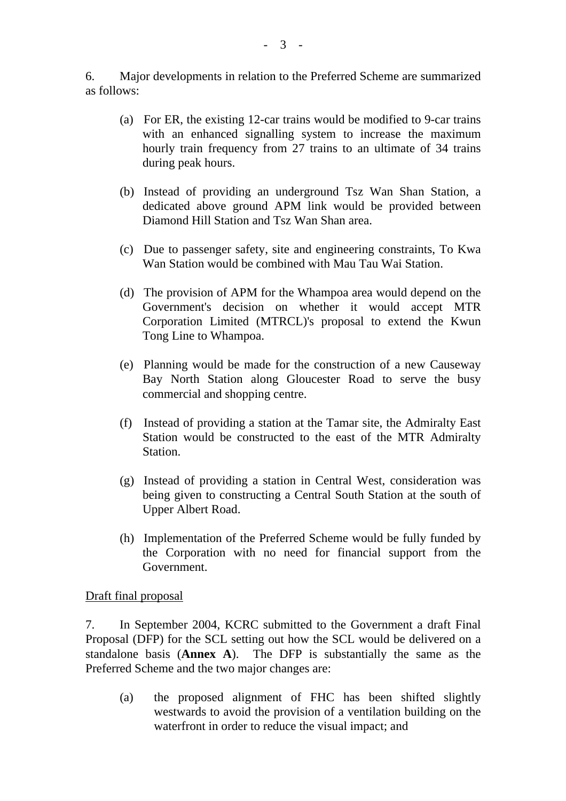6. Major developments in relation to the Preferred Scheme are summarized as follows:

- (a) For ER, the existing 12-car trains would be modified to 9-car trains with an enhanced signalling system to increase the maximum hourly train frequency from 27 trains to an ultimate of 34 trains during peak hours.
- (b) Instead of providing an underground Tsz Wan Shan Station, a dedicated above ground APM link would be provided between Diamond Hill Station and Tsz Wan Shan area.
- (c) Due to passenger safety, site and engineering constraints, To Kwa Wan Station would be combined with Mau Tau Wai Station.
- (d) The provision of APM for the Whampoa area would depend on the Government's decision on whether it would accept MTR Corporation Limited (MTRCL)'s proposal to extend the Kwun Tong Line to Whampoa.
- (e) Planning would be made for the construction of a new Causeway Bay North Station along Gloucester Road to serve the busy commercial and shopping centre.
- (f) Instead of providing a station at the Tamar site, the Admiralty East Station would be constructed to the east of the MTR Admiralty Station.
- (g) Instead of providing a station in Central West, consideration was being given to constructing a Central South Station at the south of Upper Albert Road.
- (h) Implementation of the Preferred Scheme would be fully funded by the Corporation with no need for financial support from the Government.

Draft final proposal

7. In September 2004, KCRC submitted to the Government a draft Final Proposal (DFP) for the SCL setting out how the SCL would be delivered on a standalone basis (**Annex A**). The DFP is substantially the same as the Preferred Scheme and the two major changes are:

(a) the proposed alignment of FHC has been shifted slightly westwards to avoid the provision of a ventilation building on the waterfront in order to reduce the visual impact; and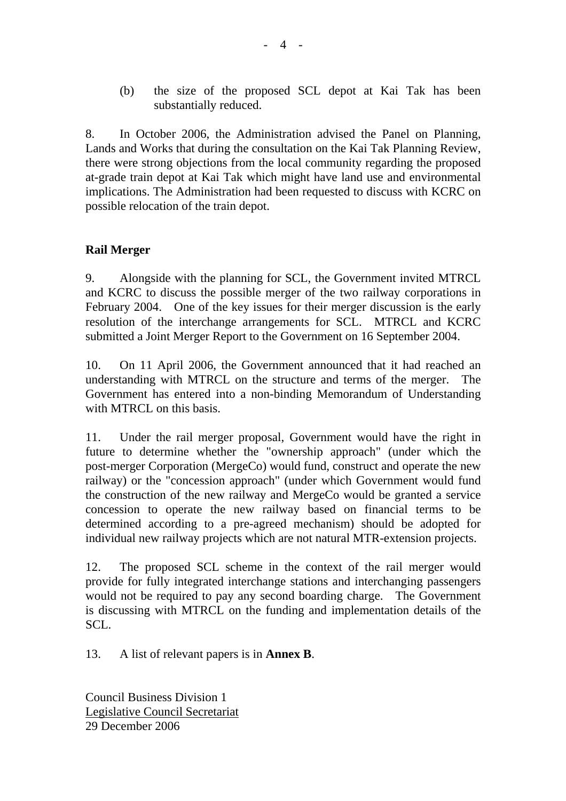(b) the size of the proposed SCL depot at Kai Tak has been substantially reduced.

8. In October 2006, the Administration advised the Panel on Planning, Lands and Works that during the consultation on the Kai Tak Planning Review, there were strong objections from the local community regarding the proposed at-grade train depot at Kai Tak which might have land use and environmental implications. The Administration had been requested to discuss with KCRC on possible relocation of the train depot.

# **Rail Merger**

9. Alongside with the planning for SCL, the Government invited MTRCL and KCRC to discuss the possible merger of the two railway corporations in February 2004. One of the key issues for their merger discussion is the early resolution of the interchange arrangements for SCL. MTRCL and KCRC submitted a Joint Merger Report to the Government on 16 September 2004.

10. On 11 April 2006, the Government announced that it had reached an understanding with MTRCL on the structure and terms of the merger. The Government has entered into a non-binding Memorandum of Understanding with MTRCL on this basis.

11. Under the rail merger proposal, Government would have the right in future to determine whether the "ownership approach" (under which the post-merger Corporation (MergeCo) would fund, construct and operate the new railway) or the "concession approach" (under which Government would fund the construction of the new railway and MergeCo would be granted a service concession to operate the new railway based on financial terms to be determined according to a pre-agreed mechanism) should be adopted for individual new railway projects which are not natural MTR-extension projects.

12. The proposed SCL scheme in the context of the rail merger would provide for fully integrated interchange stations and interchanging passengers would not be required to pay any second boarding charge. The Government is discussing with MTRCL on the funding and implementation details of the SCL.

13. A list of relevant papers is in **Annex B**.

Council Business Division 1 Legislative Council Secretariat 29 December 2006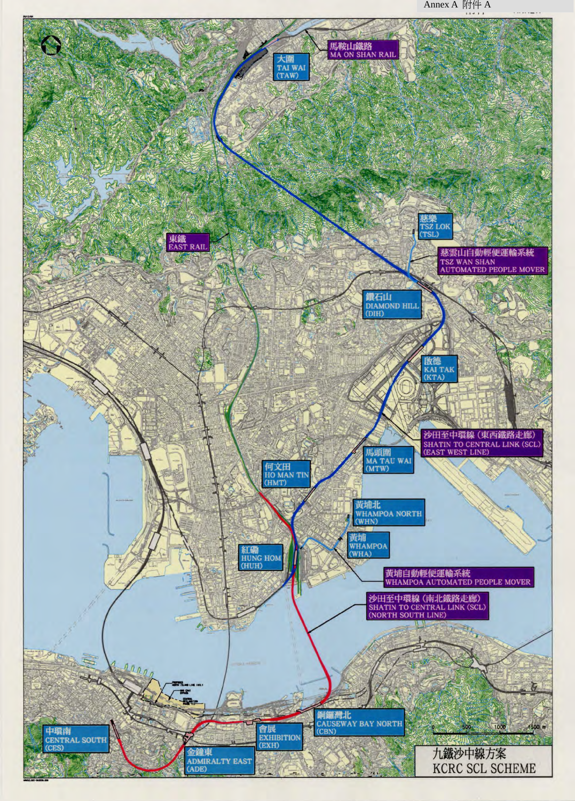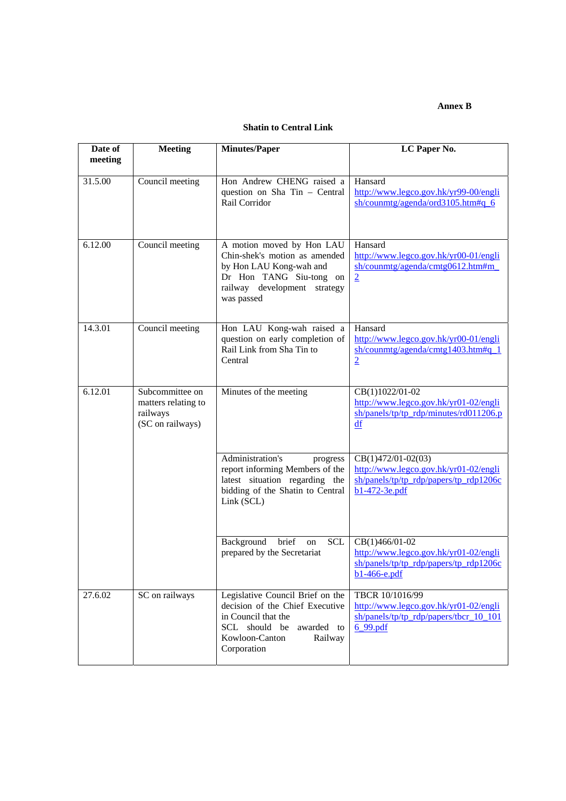#### **Annex B**

### **Shatin to Central Link**

| Date of<br>meeting | <b>Meeting</b>                                                         | <b>Minutes/Paper</b>                                                                                                                                                  | LC Paper No.                                                                                                               |
|--------------------|------------------------------------------------------------------------|-----------------------------------------------------------------------------------------------------------------------------------------------------------------------|----------------------------------------------------------------------------------------------------------------------------|
| 31.5.00            | Council meeting                                                        | Hon Andrew CHENG raised a<br>question on Sha Tin - Central<br>Rail Corridor                                                                                           | Hansard<br>http://www.legco.gov.hk/yr99-00/engli<br>sh/counmtg/agenda/ord3105.htm#q 6                                      |
| 6.12.00            | Council meeting                                                        | A motion moved by Hon LAU<br>Chin-shek's motion as amended<br>by Hon LAU Kong-wah and<br>Dr Hon TANG Siu-tong on<br>railway development strategy<br>was passed        | Hansard<br>http://www.legco.gov.hk/yr00-01/engli<br>sh/counmtg/agenda/cmtg0612.htm#m_<br>$\overline{2}$                    |
| 14.3.01            | Council meeting                                                        | Hon LAU Kong-wah raised a<br>question on early completion of<br>Rail Link from Sha Tin to<br>Central                                                                  | Hansard<br>http://www.legco.gov.hk/yr00-01/engli<br>$sh$ /counmtg/agenda/cmtg1403.htm#q 1<br>$\overline{2}$                |
| 6.12.01            | Subcommittee on<br>matters relating to<br>railways<br>(SC on railways) | Minutes of the meeting                                                                                                                                                | CB(1)1022/01-02<br>http://www.legco.gov.hk/yr01-02/engli<br>$sh/panels/tp/tp rdp/minutes/rd011206.p$<br>df                 |
|                    |                                                                        | Administration's<br>progress<br>report informing Members of the<br>latest situation regarding the<br>bidding of the Shatin to Central<br>Link (SCL)                   | $CB(1)472/01-02(03)$<br>http://www.legco.gov.hk/yr01-02/engli<br>sh/panels/tp/tp_rdp/papers/tp_rdp1206c<br>$b1-472-3e.pdf$ |
|                    |                                                                        | Background<br><b>SCL</b><br>brief<br>on<br>prepared by the Secretariat                                                                                                | CB(1)466/01-02<br>http://www.legco.gov.hk/yr01-02/engli<br>sh/panels/tp/tp rdp/paper/tp rdp1206c<br>b1-466-e.pdf           |
| 27.6.02            | SC on railways                                                         | Legislative Council Brief on the<br>decision of the Chief Executive<br>in Council that the<br>SCL should be<br>awarded to<br>Kowloon-Canton<br>Railway<br>Corporation | TBCR 10/1016/99<br>http://www.legco.gov.hk/yr01-02/engli<br>sh/panels/tp/tp_rdp/papers/tbcr_10_101<br>6 99.pdf             |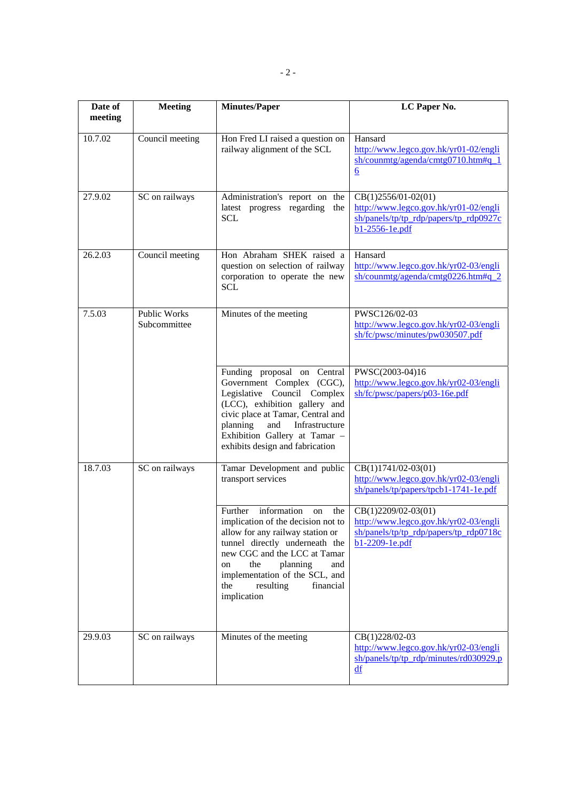| Date of<br>meeting | <b>Meeting</b>                      | <b>Minutes/Paper</b>                                                                                                                                                                                                                                                   | LC Paper No.                                                                                                                                                         |
|--------------------|-------------------------------------|------------------------------------------------------------------------------------------------------------------------------------------------------------------------------------------------------------------------------------------------------------------------|----------------------------------------------------------------------------------------------------------------------------------------------------------------------|
| 10.7.02            | Council meeting                     | Hon Fred LI raised a question on<br>railway alignment of the SCL                                                                                                                                                                                                       | Hansard<br>http://www.legco.gov.hk/yr01-02/engli<br>sh/counmtg/agenda/cmtg0710.htm#q 1<br>$\boldsymbol{6}$                                                           |
| 27.9.02            | SC on railways                      | Administration's report on the<br>latest progress regarding<br>the<br><b>SCL</b>                                                                                                                                                                                       | CB(1)2556/01-02(01)<br>http://www.legco.gov.hk/yr01-02/engli<br>sh/panels/tp/tp rdp/papers/tp rdp0927c<br>b1-2556-1e.pdf                                             |
| 26.2.03            | Council meeting                     | Hon Abraham SHEK raised a<br>question on selection of railway<br>corporation to operate the new<br><b>SCL</b>                                                                                                                                                          | Hansard<br>http://www.legco.gov.hk/yr02-03/engli<br>sh/counmtg/agenda/cmtg0226.htm#q_2                                                                               |
| 7.5.03             | <b>Public Works</b><br>Subcommittee | Minutes of the meeting                                                                                                                                                                                                                                                 | PWSC126/02-03<br>http://www.legco.gov.hk/yr02-03/engli<br>sh/fc/pwsc/minutes/pw030507.pdf                                                                            |
|                    |                                     | Funding proposal on Central<br>Government Complex (CGC),<br>Legislative Council Complex<br>(LCC), exhibition gallery and<br>civic place at Tamar, Central and<br>planning<br>and<br>Infrastructure<br>Exhibition Gallery at Tamar -<br>exhibits design and fabrication | PWSC(2003-04)16<br>http://www.legco.gov.hk/yr02-03/engli<br>sh/fc/pwsc/papers/p03-16e.pdf                                                                            |
| 18.7.03            | SC on railways                      | Tamar Development and public<br>transport services                                                                                                                                                                                                                     | $CB(1)1741/02-03(01)$<br>http://www.legco.gov.hk/yr02-03/engli<br>sh/panels/tp/papers/tpcb1-1741-1e.pdf                                                              |
|                    |                                     | information<br>Further<br>the<br>on<br>allow for any railway station or<br>tunnel directly underneath the<br>new CGC and the LCC at Tamar<br>the<br>planning<br>and<br>on<br>implementation of the SCL, and<br>financial<br>the<br>resulting<br>implication            | $CB(1)2209/02-03(01)$<br>implication of the decision not to $\int$ http://www.legco.gov.hk/yr02-03/engli<br>sh/panels/tp/tp rdp/papers/tp rdp0718c<br>b1-2209-1e.pdf |
| 29.9.03            | SC on railways                      | Minutes of the meeting                                                                                                                                                                                                                                                 | CB(1)228/02-03<br>http://www.legco.gov.hk/yr02-03/engli<br>sh/panels/tp/tp_rdp/minutes/rd030929.p<br>$\mathbf{d}\mathbf{f}$                                          |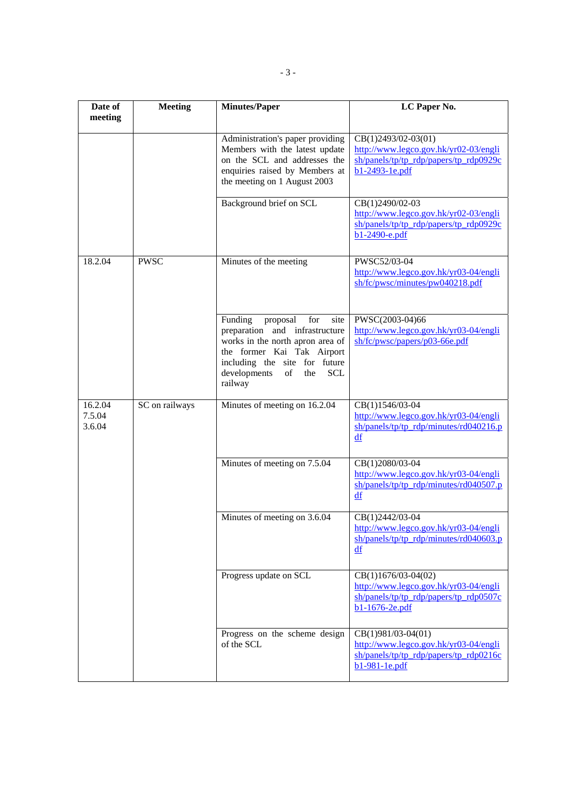| Date of<br>meeting          | <b>Meeting</b> | <b>Minutes/Paper</b>                                                                                                                                                                                                          | LC Paper No.                                                                                                                     |
|-----------------------------|----------------|-------------------------------------------------------------------------------------------------------------------------------------------------------------------------------------------------------------------------------|----------------------------------------------------------------------------------------------------------------------------------|
|                             |                | Administration's paper providing<br>Members with the latest update<br>on the SCL and addresses the<br>enquiries raised by Members at<br>the meeting on 1 August 2003                                                          | $CB(1)2493/02-03(01)$<br>http://www.legco.gov.hk/yr02-03/engli<br>$sh$ /panels/tp/tp rdp/papers/tp rdp0929 $c$<br>b1-2493-1e.pdf |
|                             |                | Background brief on SCL                                                                                                                                                                                                       | CB(1)2490/02-03<br>http://www.legco.gov.hk/yr02-03/engli<br>$sh/panels/tp/tp rdp/paners/tp rdp0929c$<br>b1-2490-e.pdf            |
| 18.2.04                     | <b>PWSC</b>    | Minutes of the meeting                                                                                                                                                                                                        | PWSC52/03-04<br>http://www.legco.gov.hk/yr03-04/engli<br>sh/fc/pwsc/minutes/pw040218.pdf                                         |
|                             |                | Funding<br>proposal<br>for<br>site<br>preparation and infrastructure<br>works in the north apron area of<br>the former Kai Tak Airport<br>including the site for future<br>developments<br>of<br><b>SCL</b><br>the<br>railway | PWSC(2003-04)66<br>http://www.legco.gov.hk/yr03-04/engli<br>sh/fc/pwsc/papers/p03-66e.pdf                                        |
| 16.2.04<br>7.5.04<br>3.6.04 | SC on railways | Minutes of meeting on 16.2.04                                                                                                                                                                                                 | CB(1)1546/03-04<br>http://www.legco.gov.hk/yr03-04/engli<br>$sh$ /panels/tp/tp rdp/minutes/rd040216.p<br>df                      |
|                             |                | Minutes of meeting on 7.5.04                                                                                                                                                                                                  | CB(1)2080/03-04<br>http://www.legco.gov.hk/yr03-04/engli<br>$sh$ /panels/tp/tp rdp/minutes/rd040507.p<br>df                      |
|                             |                | Minutes of meeting on 3.6.04                                                                                                                                                                                                  | CB(1)2442/03-04<br>http://www.legco.gov.hk/yr03-04/engli<br>$sh$ /panels/tp/tp rdp/minutes/rd040603.p<br>df                      |
|                             |                | Progress update on SCL                                                                                                                                                                                                        | $CB(1)1676/03-04(02)$<br>http://www.legco.gov.hk/yr03-04/engli<br>$sh$ /panels/tp/tp rdp/papers/tp rdp0507c<br>$b1-1676-2e.pdf$  |
|                             |                | Progress on the scheme design<br>of the SCL                                                                                                                                                                                   | $CB(1)981/03-04(01)$<br>http://www.legco.gov.hk/yr03-04/engli<br>sh/panels/tp/tp_rdp/papers/tp_rdp0216c<br>b1-981-1e.pdf         |